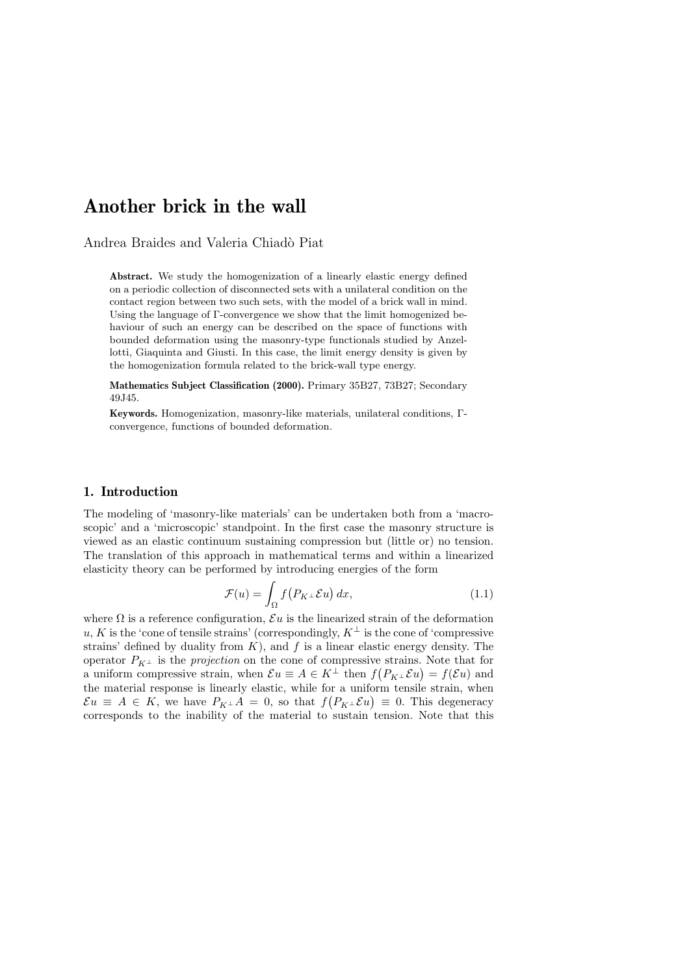# Another brick in the wall

Andrea Braides and Valeria Chiadò Piat

Abstract. We study the homogenization of a linearly elastic energy defined on a periodic collection of disconnected sets with a unilateral condition on the contact region between two such sets, with the model of a brick wall in mind. Using the language of Γ-convergence we show that the limit homogenized behaviour of such an energy can be described on the space of functions with bounded deformation using the masonry-type functionals studied by Anzellotti, Giaquinta and Giusti. In this case, the limit energy density is given by the homogenization formula related to the brick-wall type energy.

Mathematics Subject Classification (2000). Primary 35B27, 73B27; Secondary 49J45.

Keywords. Homogenization, masonry-like materials, unilateral conditions, Γconvergence, functions of bounded deformation.

### 1. Introduction

The modeling of 'masonry-like materials' can be undertaken both from a 'macroscopic' and a 'microscopic' standpoint. In the first case the masonry structure is viewed as an elastic continuum sustaining compression but (little or) no tension. The translation of this approach in mathematical terms and within a linearized elasticity theory can be performed by introducing energies of the form

$$
\mathcal{F}(u) = \int_{\Omega} f\big(P_K \bot \mathcal{E} u\big) dx, \tag{1.1}
$$

where  $\Omega$  is a reference configuration,  $\mathcal{E}u$  is the linearized strain of the deformation u, K is the 'cone of tensile strains' (correspondingly,  $K^{\perp}$  is the cone of 'compressive strains' defined by duality from  $K$ ), and  $f$  is a linear elastic energy density. The operator  $P_{K^{\perp}}$  is the *projection* on the cone of compressive strains. Note that for a uniform compressive strain, when  $\mathcal{E}u \equiv A \in K^{\perp}$  then  $f(P_{K^{\perp}} \mathcal{E}u) = f(\mathcal{E}u)$  and the material response is linearly elastic, while for a uniform tensile strain, when  $\mathcal{E}u \equiv A \in K$ , we have  $P_{K^{\perp}}A = 0$ , so that  $f(P_{K^{\perp}}\mathcal{E}u) \equiv 0$ . This degeneracy corresponds to the inability of the material to sustain tension. Note that this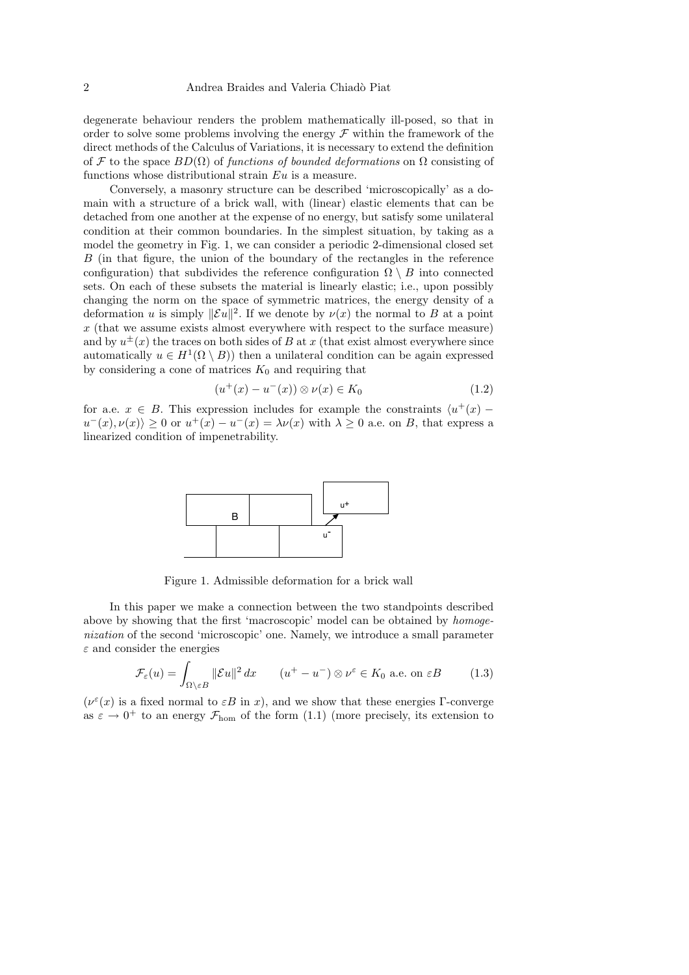degenerate behaviour renders the problem mathematically ill-posed, so that in order to solve some problems involving the energy  $\mathcal F$  within the framework of the direct methods of the Calculus of Variations, it is necessary to extend the definition of F to the space  $BD(\Omega)$  of functions of bounded deformations on  $\Omega$  consisting of functions whose distributional strain Eu is a measure.

Conversely, a masonry structure can be described 'microscopically' as a domain with a structure of a brick wall, with (linear) elastic elements that can be detached from one another at the expense of no energy, but satisfy some unilateral condition at their common boundaries. In the simplest situation, by taking as a model the geometry in Fig. 1, we can consider a periodic 2-dimensional closed set B (in that figure, the union of the boundary of the rectangles in the reference configuration) that subdivides the reference configuration  $\Omega \setminus B$  into connected sets. On each of these subsets the material is linearly elastic; i.e., upon possibly changing the norm on the space of symmetric matrices, the energy density of a deformation u is simply  $\|\mathcal{E}u\|^2$ . If we denote by  $\nu(x)$  the normal to B at a point  $x$  (that we assume exists almost everywhere with respect to the surface measure) and by  $u^{\pm}(x)$  the traces on both sides of B at x (that exist almost everywhere since automatically  $u \in H^1(\Omega \setminus B)$  then a unilateral condition can be again expressed by considering a cone of matrices  $K_0$  and requiring that

$$
(u^+(x) - u^-(x)) \otimes \nu(x) \in K_0 \tag{1.2}
$$

for a.e.  $x \in B$ . This expression includes for example the constraints  $\langle u^+(x)$  $u^-(x), \nu(x) \geq 0$  or  $u^+(x) - u^-(x) = \lambda \nu(x)$  with  $\lambda \geq 0$  a.e. on B, that express a linearized condition of impenetrability.



Figure 1. Admissible deformation for a brick wall

In this paper we make a connection between the two standpoints described above by showing that the first 'macroscopic' model can be obtained by homogenization of the second 'microscopic' one. Namely, we introduce a small parameter  $\varepsilon$  and consider the energies

$$
\mathcal{F}_{\varepsilon}(u) = \int_{\Omega \setminus \varepsilon B} ||\mathcal{E}u||^2 dx \qquad (u^+ - u^-) \otimes \nu^{\varepsilon} \in K_0 \text{ a.e. on } \varepsilon B \tag{1.3}
$$

 $(\nu^{\varepsilon}(x))$  is a fixed normal to  $\varepsilon B$  in x), and we show that these energies Γ-converge as  $\varepsilon \to 0^+$  to an energy  $\mathcal{F}_{\text{hom}}$  of the form  $(1.1)$  (more precisely, its extension to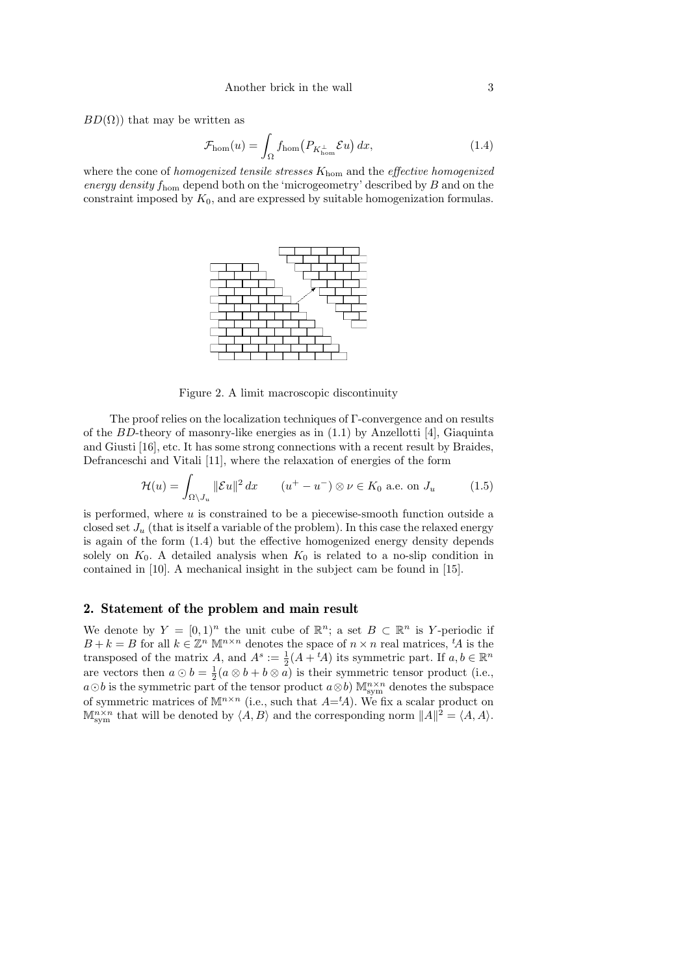$BD(\Omega)$ ) that may be written as

$$
\mathcal{F}_{\text{hom}}(u) = \int_{\Omega} f_{\text{hom}}(P_{K_{\text{hom}}^{\perp}} \mathcal{E}u) dx, \tag{1.4}
$$

where the cone of homogenized tensile stresses  $K_{\text{hom}}$  and the effective homogenized energy density  $f_{\text{hom}}$  depend both on the 'microgeometry' described by  $B$  and on the constraint imposed by  $K_0$ , and are expressed by suitable homogenization formulas.



Figure 2. A limit macroscopic discontinuity

The proof relies on the localization techniques of Γ-convergence and on results of the BD-theory of masonry-like energies as in  $(1.1)$  by Anzellotti [4], Giaquinta and Giusti [16], etc. It has some strong connections with a recent result by Braides, Defranceschi and Vitali [11], where the relaxation of energies of the form

$$
\mathcal{H}(u) = \int_{\Omega \setminus J_u} \|\mathcal{E}u\|^2 dx \qquad (u^+ - u^-) \otimes \nu \in K_0 \text{ a.e. on } J_u \tag{1.5}
$$

is performed, where u is constrained to be a piecewise-smooth function outside a closed set  $J_u$  (that is itself a variable of the problem). In this case the relaxed energy is again of the form (1.4) but the effective homogenized energy density depends solely on  $K_0$ . A detailed analysis when  $K_0$  is related to a no-slip condition in contained in [10]. A mechanical insight in the subject cam be found in [15].

# 2. Statement of the problem and main result

We denote by  $Y = [0,1]^n$  the unit cube of  $\mathbb{R}^n$ ; a set  $B \subset \mathbb{R}^n$  is Y-periodic if  $B + k = B$  for all  $k \in \mathbb{Z}^n$  M<sup>n×n</sup> denotes the space of  $n \times n$  real matrices, <sup>t</sup>A is the transposed of the matrix A, and  $A^s := \frac{1}{2}(A + {}^t A)$  its symmetric part. If  $a, b \in \mathbb{R}^n$ are vectors then  $a \odot b = \frac{1}{2}(a \otimes b + b \otimes a)$  is their symmetric tensor product (i.e.,  $a \odot b$  is the symmetric part of the tensor product  $a \otimes b$ )  $\mathbb{M}^{n \times n}_{sym}$  denotes the subspace of symmetric matrices of  $\mathbb{M}^{n \times n}$  (i.e., such that  $A = \{A\}$ ). We fix a scalar product on  $\mathbb{M}^{n\times n}_{sym}$  that will be denoted by  $\langle A, B \rangle$  and the corresponding norm  $||A||^2 = \langle A, A \rangle$ .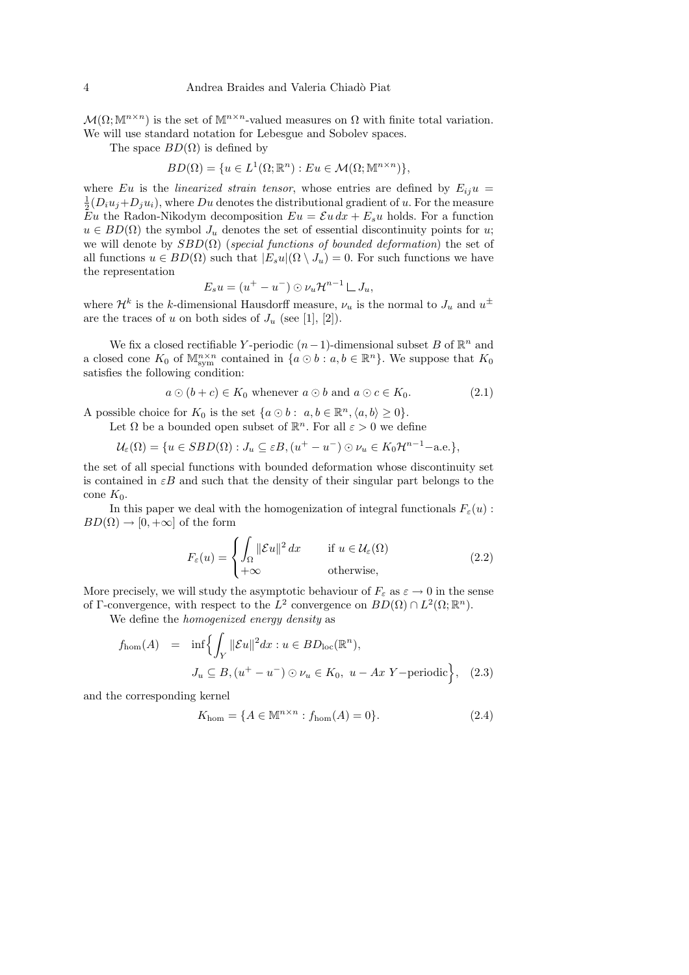$\mathcal{M}(\Omega;\mathbb{M}^{n\times n})$  is the set of  $\mathbb{M}^{n\times n}$ -valued measures on  $\Omega$  with finite total variation. We will use standard notation for Lebesgue and Sobolev spaces.

The space  $BD(\Omega)$  is defined by

$$
BD(\Omega) = \{ u \in L^1(\Omega; \mathbb{R}^n) : Eu \in \mathcal{M}(\Omega; \mathbb{M}^{n \times n}) \},
$$

where Eu is the linearized strain tensor, whose entries are defined by  $E_{ij}u =$  $\frac{1}{2}(D_i u_j + D_j u_i)$ , where  $Du$  denotes the distributional gradient of u. For the measure Eu the Radon-Nikodym decomposition  $Eu = \mathcal{E} u dx + E_s u$  holds. For a function  $u \in BD(\Omega)$  the symbol  $J_u$  denotes the set of essential discontinuity points for u; we will denote by  $SBD(\Omega)$  (special functions of bounded deformation) the set of all functions  $u \in BD(\Omega)$  such that  $|E_s u|(\Omega \setminus J_u) = 0$ . For such functions we have the representation

$$
E_s u = (u^+ - u^-) \odot \nu_u \mathcal{H}^{n-1} \sqcup J_u,
$$

where  $\mathcal{H}^k$  is the k-dimensional Hausdorff measure,  $\nu_u$  is the normal to  $J_u$  and  $u^{\pm}$ are the traces of u on both sides of  $J_u$  (see [1], [2]).

We fix a closed rectifiable Y-periodic  $(n-1)$ -dimensional subset B of  $\mathbb{R}^n$  and a closed cone  $K_0$  of  $\mathbb{M}^{n\times n}_{sym}$  contained in  $\{a\odot b : a,b\in\mathbb{R}^n\}$ . We suppose that  $K_0$ satisfies the following condition:

$$
a \odot (b + c) \in K_0 \text{ whenever } a \odot b \text{ and } a \odot c \in K_0. \tag{2.1}
$$

A possible choice for  $K_0$  is the set  $\{a \odot b : a, b \in \mathbb{R}^n, \langle a, b \rangle \ge 0\}.$ 

Let  $\Omega$  be a bounded open subset of  $\mathbb{R}^n$ . For all  $\varepsilon > 0$  we define

$$
\mathcal{U}_{\varepsilon}(\Omega) = \{ u \in SBD(\Omega) : J_u \subseteq \varepsilon B, (u^+ - u^-) \odot \nu_u \in K_0 \mathcal{H}^{n-1} - \text{a.e.} \},
$$

the set of all special functions with bounded deformation whose discontinuity set is contained in  $\epsilon B$  and such that the density of their singular part belongs to the cone  $K_0$ .

In this paper we deal with the homogenization of integral functionals  $F_{\varepsilon}(u)$ :  $BD(\Omega) \rightarrow [0, +\infty]$  of the form

$$
F_{\varepsilon}(u) = \begin{cases} \int_{\Omega} ||\mathcal{E}u||^2 dx & \text{if } u \in \mathcal{U}_{\varepsilon}(\Omega) \\ +\infty & \text{otherwise,} \end{cases}
$$
 (2.2)

More precisely, we will study the asymptotic behaviour of  $F_{\varepsilon}$  as  $\varepsilon \to 0$  in the sense of Γ-convergence, with respect to the  $L^2$  convergence on  $BD(\Omega) \cap L^2(\Omega;\mathbb{R}^n)$ .

We define the *homogenized energy density* as

$$
f_{\text{hom}}(A) = \inf \Biggl\{ \int_Y \|\mathcal{E}u\|^2 dx : u \in BD_{\text{loc}}(\mathbb{R}^n),
$$
  

$$
J_u \subseteq B, (u^+ - u^-) \odot \nu_u \in K_0, u - Ax \ Y - \text{periodic} \Biggr\}, \quad (2.3)
$$

and the corresponding kernel

$$
K_{\text{hom}} = \{ A \in \mathbb{M}^{n \times n} : f_{\text{hom}}(A) = 0 \}.
$$
 (2.4)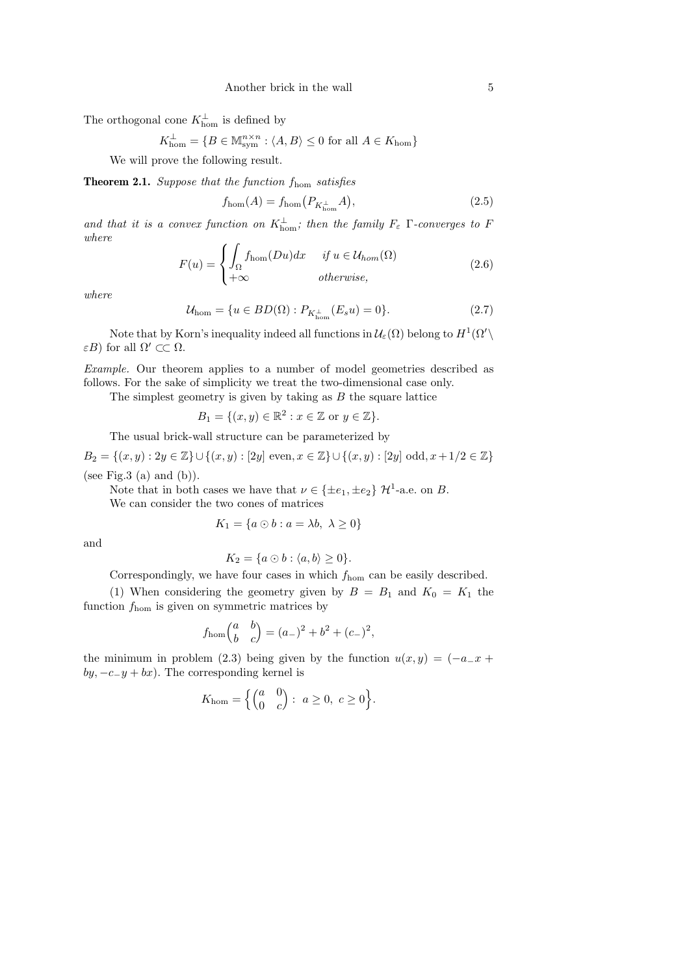The orthogonal cone  $K_{\text{hom}}^{\perp}$  is defined by

$$
K_{\text{hom}}^{\perp} = \{ B \in \mathbb{M}^{n \times n}_{\text{sym}} : \langle A, B \rangle \le 0 \text{ for all } A \in K_{\text{hom}} \}
$$

We will prove the following result.

**Theorem 2.1.** Suppose that the function  $f_{\text{hom}}$  satisfies

$$
f_{\rm hom}(A) = f_{\rm hom}\big(P_{K^{\perp}_{\rm hom}}A\big),\tag{2.5}
$$

and that it is a convex function on  $K^{\perp}_{\text{hom}}$ ; then the family  $F_{\varepsilon}$   $\Gamma$ -converges to F where

$$
F(u) = \begin{cases} \int_{\Omega} f_{\text{hom}}(Du)dx & \text{if } u \in \mathcal{U}_{hom}(\Omega) \\ +\infty & \text{otherwise,} \end{cases}
$$
 (2.6)

where

$$
\mathcal{U}_{\text{hom}} = \{ u \in BD(\Omega) : P_{K_{\text{hom}}^{\perp}}(E_s u) = 0 \}. \tag{2.7}
$$

Note that by Korn's inequality indeed all functions in  $\mathcal{U}_{\varepsilon}(\Omega)$  belong to  $H^{1}(\Omega')$  $\varepsilon B$ ) for all  $\Omega' \subset\subset \Omega$ .

Example. Our theorem applies to a number of model geometries described as follows. For the sake of simplicity we treat the two-dimensional case only.

The simplest geometry is given by taking as  $B$  the square lattice

$$
B_1 = \{ (x, y) \in \mathbb{R}^2 : x \in \mathbb{Z} \text{ or } y \in \mathbb{Z} \}.
$$

The usual brick-wall structure can be parameterized by

 $B_2 = \{(x, y) : 2y \in \mathbb{Z}\} \cup \{(x, y) : [2y] \text{ even}, x \in \mathbb{Z}\} \cup \{(x, y) : [2y] \text{ odd}, x + 1/2 \in \mathbb{Z}\}\$ (see Fig.3 (a) and  $(b)$ ).

Note that in both cases we have that  $\nu \in {\pm e_1, \pm e_2}$   $\mathcal{H}^1$ -a.e. on B.

We can consider the two cones of matrices

$$
K_1 = \{a \odot b : a = \lambda b, \ \lambda \ge 0\}
$$

and

$$
K_2 = \{a \odot b : \langle a, b \rangle \ge 0\}.
$$

Correspondingly, we have four cases in which  $f_{\text{hom}}$  can be easily described.

(1) When considering the geometry given by  $B = B_1$  and  $K_0 = K_1$  the function  $f_{\text{hom}}$  is given on symmetric matrices by

$$
f_{\text{hom}}\begin{pmatrix} a & b \\ b & c \end{pmatrix} = (a_-)^2 + b^2 + (c_-)^2,
$$

the minimum in problem (2.3) being given by the function  $u(x, y) = (-a_{-}x +$  $by, -c_{-}y + bx)$ . The corresponding kernel is

$$
K_{\rm hom}=\Bigl\{\begin{pmatrix}a&0\\0&c\end{pmatrix}:\ a\geq 0,\ c\geq 0\Bigr\}.
$$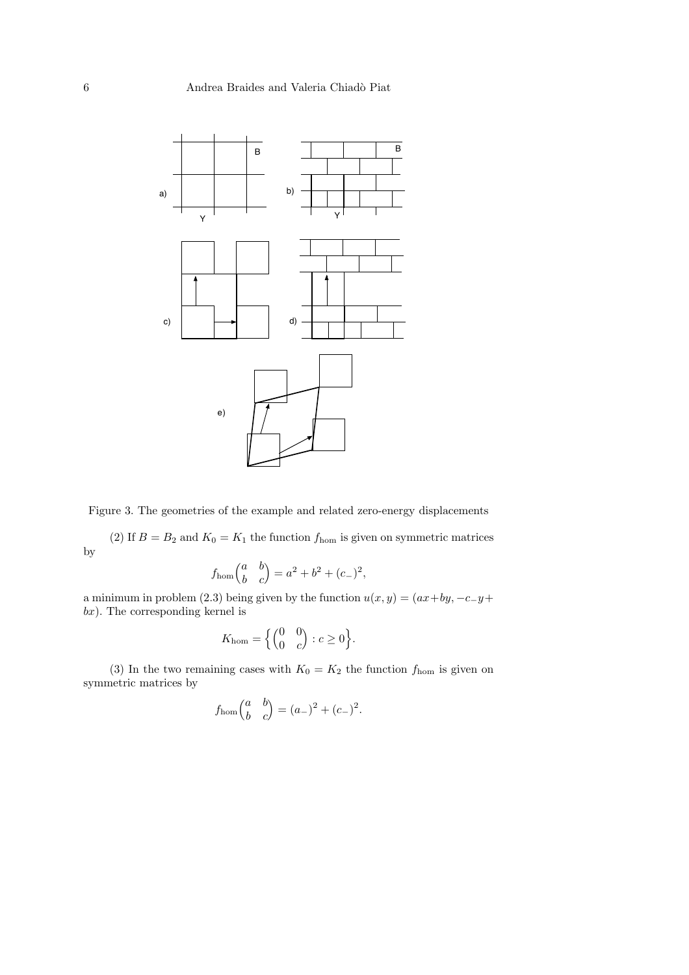

Figure 3. The geometries of the example and related zero-energy displacements

(2) If  $B = B_2$  and  $K_0 = K_1$  the function  $f_{\text{hom}}$  is given on symmetric matrices by

$$
f_{\text{hom}}\begin{pmatrix} a & b \\ b & c \end{pmatrix} = a^2 + b^2 + (c_-)^2,
$$

a minimum in problem (2.3) being given by the function  $u(x, y) = (ax + by, -c - y +$  $bx$ ). The corresponding kernel is

$$
K_{\text{hom}} = \left\{ \begin{pmatrix} 0 & 0 \\ 0 & c \end{pmatrix} : c \ge 0 \right\}.
$$

(3) In the two remaining cases with  $K_0 = K_2$  the function  $f_{\text{hom}}$  is given on symmetric matrices by

$$
fhom\begin{pmatrix} a & b \ b & c \end{pmatrix} = (a_-)^2 + (c_-)^2.
$$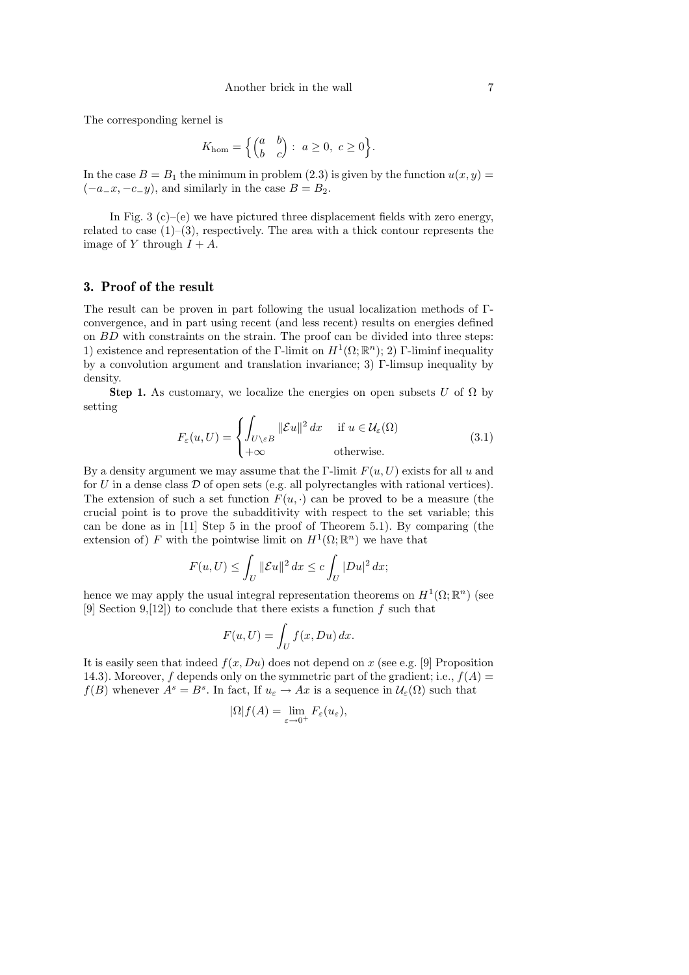The corresponding kernel is

$$
K_{\text{hom}} = \left\{ \begin{pmatrix} a & b \\ b & c \end{pmatrix} : a \ge 0, \ c \ge 0 \right\}.
$$

In the case  $B = B_1$  the minimum in problem (2.3) is given by the function  $u(x, y) =$  $(-a_{-}x, -c_{-}y)$ , and similarly in the case  $B = B_2$ .

In Fig. 3 (c)–(e) we have pictured three displacement fields with zero energy, related to case  $(1)$ –(3), respectively. The area with a thick contour represents the image of Y through  $I + A$ .

## 3. Proof of the result

The result can be proven in part following the usual localization methods of Γconvergence, and in part using recent (and less recent) results on energies defined on BD with constraints on the strain. The proof can be divided into three steps: 1) existence and representation of the Γ-limit on  $H^1(\Omega;\mathbb{R}^n); 2)$  Γ-liminf inequality by a convolution argument and translation invariance; 3) Γ-limsup inequality by density.

Step 1. As customary, we localize the energies on open subsets U of  $\Omega$  by setting

$$
F_{\varepsilon}(u,U) = \begin{cases} \int_{U \setminus \varepsilon B} ||\mathcal{E}u||^2 dx & \text{if } u \in \mathcal{U}_{\varepsilon}(\Omega) \\ +\infty & \text{otherwise.} \end{cases}
$$
(3.1)

By a density argument we may assume that the Γ-limit  $F(u, U)$  exists for all u and for  $U$  in a dense class  $D$  of open sets (e.g. all polyrectangles with rational vertices). The extension of such a set function  $F(u, \cdot)$  can be proved to be a measure (the crucial point is to prove the subadditivity with respect to the set variable; this can be done as in [11] Step 5 in the proof of Theorem 5.1). By comparing (the extension of) F with the pointwise limit on  $H^1(\Omega;\mathbb{R}^n)$  we have that

$$
F(u, U) \le \int_U \|\mathcal{E}u\|^2 dx \le c \int_U |Du|^2 dx;
$$

hence we may apply the usual integral representation theorems on  $H^1(\Omega;\mathbb{R}^n)$  (see [9] Section 9, [12]) to conclude that there exists a function  $f$  such that

$$
F(u, U) = \int_U f(x, Du) \, dx.
$$

It is easily seen that indeed  $f(x, Du)$  does not depend on x (see e.g. [9] Proposition 14.3). Moreover, f depends only on the symmetric part of the gradient; i.e.,  $f(A)$  =  $f(B)$  whenever  $A^s = B^s$ . In fact, If  $u_{\varepsilon} \to Ax$  is a sequence in  $\mathcal{U}_{\varepsilon}(\Omega)$  such that

$$
|\Omega|f(A) = \lim_{\varepsilon \to 0^+} F_{\varepsilon}(u_{\varepsilon}),
$$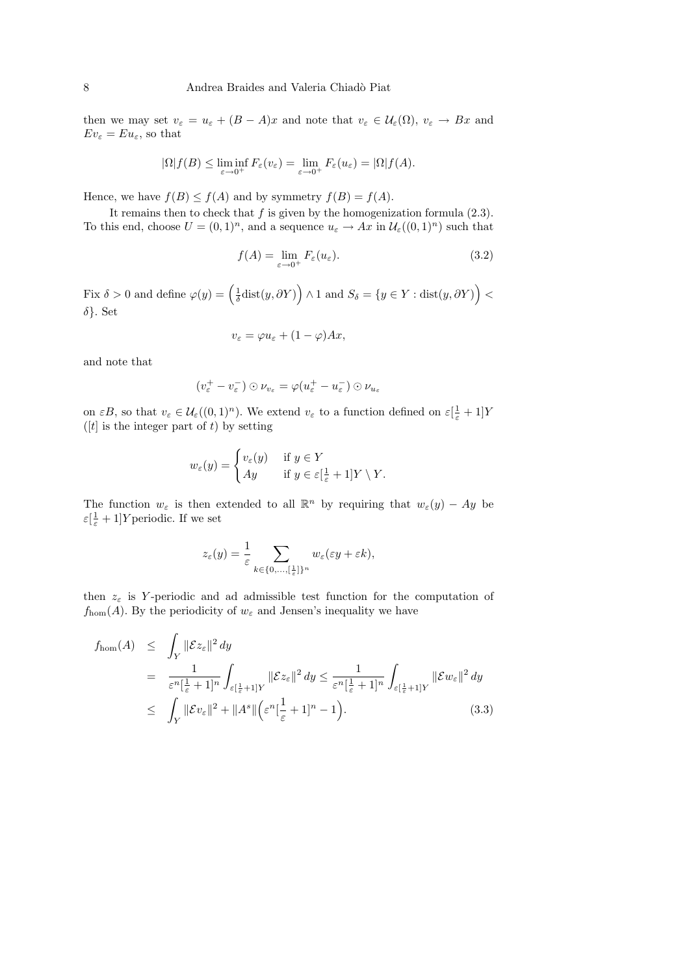then we may set  $v_{\varepsilon} = u_{\varepsilon} + (B - A)x$  and note that  $v_{\varepsilon} \in \mathcal{U}_{\varepsilon}(\Omega)$ ,  $v_{\varepsilon} \to Bx$  and  $Ev_{\varepsilon}=Eu_{\varepsilon}$ , so that

$$
|\Omega|f(B) \leq \liminf_{\varepsilon \to 0^+} F_{\varepsilon}(v_{\varepsilon}) = \lim_{\varepsilon \to 0^+} F_{\varepsilon}(u_{\varepsilon}) = |\Omega|f(A).
$$

Hence, we have  $f(B) \le f(A)$  and by symmetry  $f(B) = f(A)$ .

It remains then to check that  $f$  is given by the homogenization formula  $(2.3)$ . To this end, choose  $U = (0,1)^n$ , and a sequence  $u_{\varepsilon} \to Ax$  in  $\mathcal{U}_{\varepsilon}((0,1)^n)$  such that

$$
f(A) = \lim_{\varepsilon \to 0^+} F_{\varepsilon}(u_{\varepsilon}).
$$
\n(3.2)

Fix  $\delta > 0$  and define  $\varphi(y) = \left(\frac{1}{\delta} \text{dist}(y, \partial Y)\right) \wedge 1$  and  $S_{\delta} = \{y \in Y : \text{dist}(y, \partial Y)\right) <$ δ}. Set

$$
v_{\varepsilon} = \varphi u_{\varepsilon} + (1 - \varphi)Ax,
$$

and note that

$$
(v_{\varepsilon}^+ - v_{\varepsilon}^-) \odot \nu_{v_{\varepsilon}} = \varphi(u_{\varepsilon}^+ - u_{\varepsilon}^-) \odot \nu_{u_{\varepsilon}}
$$

on  $\epsilon B$ , so that  $v_{\epsilon} \in \mathcal{U}_{\epsilon}((0,1)^n)$ . We extend  $v_{\epsilon}$  to a function defined on  $\epsilon[\frac{1}{\epsilon}+1]Y$ ( $[t]$  is the integer part of t) by setting

$$
w_{\varepsilon}(y) = \begin{cases} v_{\varepsilon}(y) & \text{if } y \in Y \\ Ay & \text{if } y \in \varepsilon\left[\frac{1}{\varepsilon} + 1\right]Y \setminus Y. \end{cases}
$$

The function  $w_{\varepsilon}$  is then extended to all  $\mathbb{R}^n$  by requiring that  $w_{\varepsilon}(y) - Ay$  be  $\varepsilon[\frac{1}{\varepsilon}+1]Y$  periodic. If we set

$$
z_{\varepsilon}(y) = \frac{1}{\varepsilon} \sum_{k \in \{0, \ldots, \lceil \frac{1}{\varepsilon} \rceil\}^n} w_{\varepsilon}(\varepsilon y + \varepsilon k),
$$

then  $z_{\varepsilon}$  is Y-periodic and ad admissible test function for the computation of  $f_{\text{hom}}(A)$ . By the periodicity of  $w_{\varepsilon}$  and Jensen's inequality we have

$$
f_{\text{hom}}(A) \leq \int_{Y} ||\mathcal{E}z_{\varepsilon}||^{2} dy
$$
  
\n
$$
= \frac{1}{\varepsilon^{n}[\frac{1}{\varepsilon} + 1]^{n}} \int_{\varepsilon[\frac{1}{\varepsilon} + 1]Y} ||\mathcal{E}z_{\varepsilon}||^{2} dy \leq \frac{1}{\varepsilon^{n}[\frac{1}{\varepsilon} + 1]^{n}} \int_{\varepsilon[\frac{1}{\varepsilon} + 1]Y} ||\mathcal{E}w_{\varepsilon}||^{2} dy
$$
  
\n
$$
\leq \int_{Y} ||\mathcal{E}v_{\varepsilon}||^{2} + ||A^{s}|| (\varepsilon^{n}[\frac{1}{\varepsilon} + 1]^{n} - 1).
$$
 (3.3)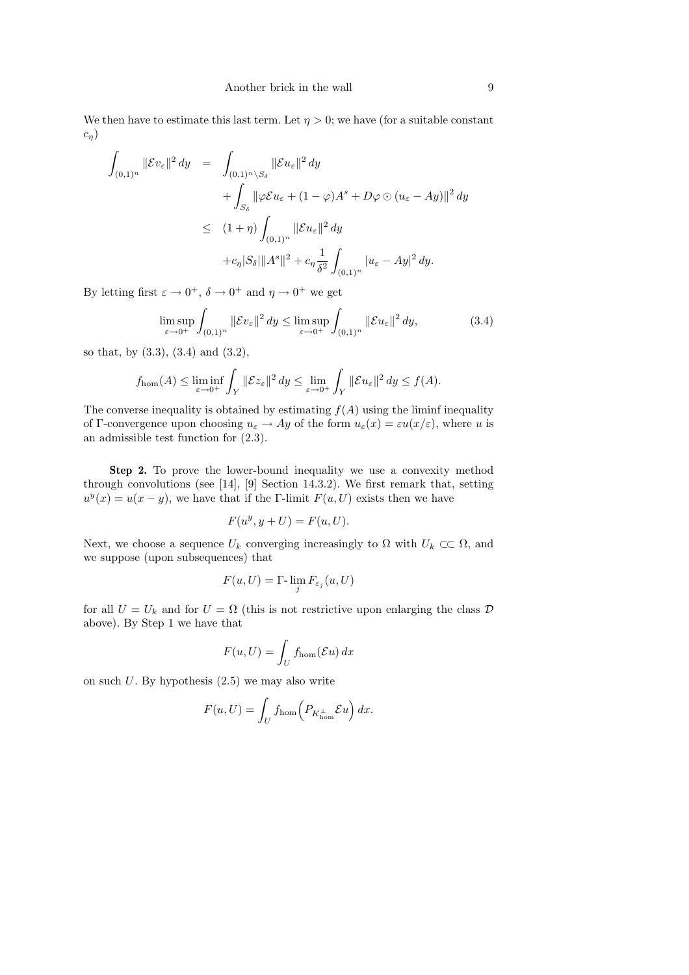We then have to estimate this last term. Let  $\eta > 0$ ; we have (for a suitable constant  $c_n$ )

$$
\int_{(0,1)^n} ||\mathcal{E}v_{\varepsilon}||^2 dy = \int_{(0,1)^n \setminus S_\delta} ||\mathcal{E}u_{\varepsilon}||^2 dy
$$
  
+ 
$$
\int_{S_\delta} ||\varphi \mathcal{E}u_{\varepsilon} + (1 - \varphi)A^s + D\varphi \odot (u_{\varepsilon} - Ay) ||^2 dy
$$
  

$$
\leq (1 + \eta) \int_{(0,1)^n} ||\mathcal{E}u_{\varepsilon}||^2 dy
$$
  
+ 
$$
c_{\eta} |S_{\delta}|| |A^s||^2 + c_{\eta} \frac{1}{\delta^2} \int_{(0,1)^n} |u_{\varepsilon} - Ay|^2 dy.
$$

By letting first  $\varepsilon \to 0^+$ ,  $\delta \to 0^+$  and  $\eta \to 0^+$  we get

$$
\limsup_{\varepsilon \to 0^+} \int_{(0,1)^n} \|\mathcal{E}v_{\varepsilon}\|^2 dy \le \limsup_{\varepsilon \to 0^+} \int_{(0,1)^n} \|\mathcal{E}u_{\varepsilon}\|^2 dy,
$$
\n(3.4)

so that, by (3.3), (3.4) and (3.2),

$$
f_{\text{hom}}(A) \le \liminf_{\varepsilon \to 0^+} \int_Y \|\mathcal{E}z_{\varepsilon}\|^2 dy \le \lim_{\varepsilon \to 0^+} \int_Y \|\mathcal{E}u_{\varepsilon}\|^2 dy \le f(A).
$$

The converse inequality is obtained by estimating  $f(A)$  using the liminf inequality of Γ-convergence upon choosing  $u_{\varepsilon} \to Ay$  of the form  $u_{\varepsilon}(x) = \varepsilon u(x/\varepsilon)$ , where u is an admissible test function for (2.3).

Step 2. To prove the lower-bound inequality we use a convexity method through convolutions (see [14], [9] Section 14.3.2). We first remark that, setting  $u^y(x) = u(x - y)$ , we have that if the Γ-limit  $F(u, U)$  exists then we have

$$
F(u^y, y + U) = F(u, U).
$$

Next, we choose a sequence  $U_k$  converging increasingly to  $\Omega$  with  $U_k \subset\subset \Omega$ , and we suppose (upon subsequences) that

$$
F(u, U) = \Gamma \cdot \lim_{j} F_{\varepsilon_j}(u, U)
$$

for all  $U = U_k$  and for  $U = \Omega$  (this is not restrictive upon enlarging the class  $\mathcal{D}$ above). By Step 1 we have that

$$
F(u, U) = \int_U f_{\text{hom}}(\mathcal{E}u) \, dx
$$

on such  $U$ . By hypothesis  $(2.5)$  we may also write

$$
F(u, U) = \int_U f_{\text{hom}} \left( P_{K_{\text{hom}}^\perp} \mathcal{E} u \right) dx.
$$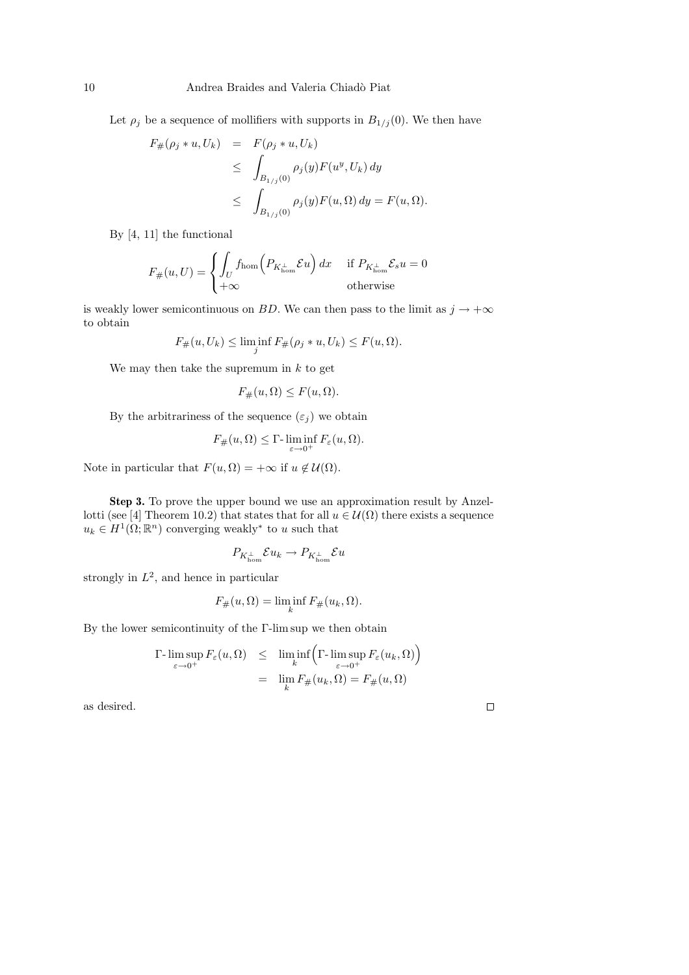Let  $\rho_j$  be a sequence of mollifiers with supports in  $B_{1/j}(0)$ . We then have

$$
F_{\#}(\rho_j * u, U_k) = F(\rho_j * u, U_k)
$$
  
\n
$$
\leq \int_{B_{1/j}(0)} \rho_j(y) F(u^y, U_k) dy
$$
  
\n
$$
\leq \int_{B_{1/j}(0)} \rho_j(y) F(u, \Omega) dy = F(u, \Omega).
$$

By [4, 11] the functional

$$
F_{\#}(u, U) = \begin{cases} \int_{U} f_{\text{hom}}(P_{K_{\text{hom}}^{\perp}} \mathcal{E}u) dx & \text{if } P_{K_{\text{hom}}^{\perp}} \mathcal{E}_{s}u = 0\\ +\infty & \text{otherwise} \end{cases}
$$

is weakly lower semicontinuous on BD. We can then pass to the limit as  $j \to +\infty$ to obtain

$$
F_{\#}(u, U_k) \le \liminf_j F_{\#}(\rho_j * u, U_k) \le F(u, \Omega).
$$

We may then take the supremum in  $k$  to get

$$
F_{\#}(u,\Omega) \le F(u,\Omega).
$$

By the arbitrariness of the sequence  $(\varepsilon_i)$  we obtain

$$
F_{\#}(u,\Omega) \leq \Gamma\text{-}\liminf_{\varepsilon \to 0^+} F_{\varepsilon}(u,\Omega).
$$

Note in particular that  $F(u, \Omega) = +\infty$  if  $u \notin \mathcal{U}(\Omega)$ .

Step 3. To prove the upper bound we use an approximation result by Anzellotti (see [4] Theorem 10.2) that states that for all  $u \in \mathcal{U}(\Omega)$  there exists a sequence  $u_k \in H^1(\Omega;\mathbb{R}^n)$  converging weakly<sup>\*</sup> to u such that

$$
P_{K^{\perp}_{\text{hom}}}\mathcal{E} u_k\to P_{K^{\perp}_{\text{hom}}}\mathcal{E} u
$$

strongly in  $L^2$ , and hence in particular

$$
F_{\#}(u,\Omega) = \liminf_{k} F_{\#}(u_k,\Omega).
$$

By the lower semicontinuity of the Γ-lim sup we then obtain

$$
\Gamma\text{-}\limsup_{\varepsilon \to 0^+} F_{\varepsilon}(u,\Omega) \leq \liminf_{k} \left( \Gamma\text{-}\limsup_{\varepsilon \to 0^+} F_{\varepsilon}(u_k,\Omega) \right)
$$

$$
= \lim_{k} F_{\#}(u_k,\Omega) = F_{\#}(u,\Omega)
$$

as desired.

 $\Box$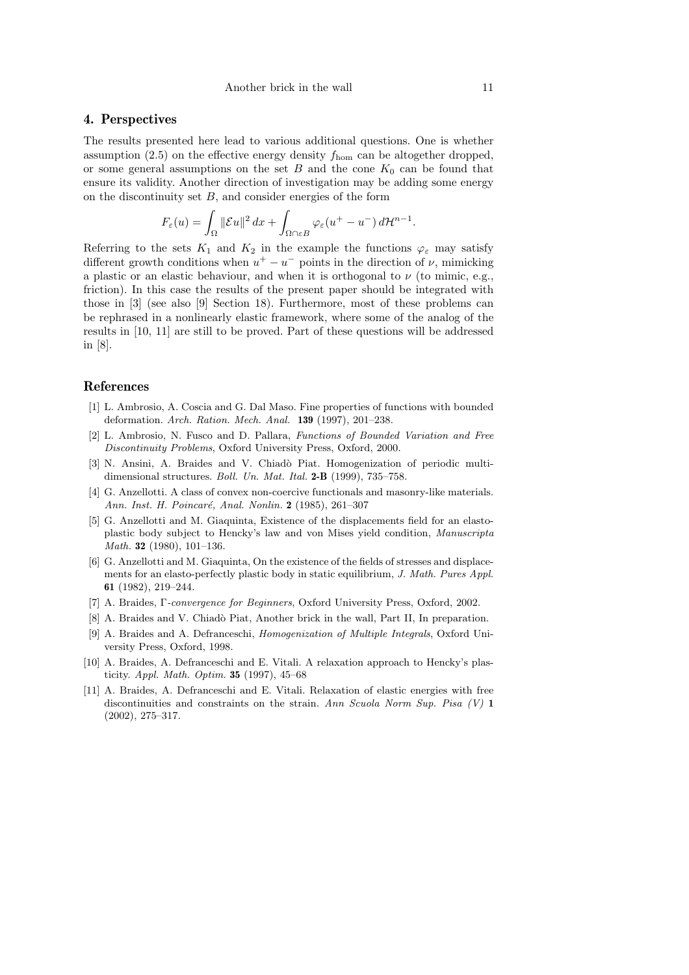## 4. Perspectives

The results presented here lead to various additional questions. One is whether assumption  $(2.5)$  on the effective energy density  $f_{\text{hom}}$  can be altogether dropped, or some general assumptions on the set  $B$  and the cone  $K_0$  can be found that ensure its validity. Another direction of investigation may be adding some energy on the discontinuity set  $B$ , and consider energies of the form

$$
F_{\varepsilon}(u) = \int_{\Omega} ||\mathcal{E}u||^2 dx + \int_{\Omega \cap \varepsilon B} \varphi_{\varepsilon}(u^+ - u^-) d\mathcal{H}^{n-1}
$$

Referring to the sets  $K_1$  and  $K_2$  in the example the functions  $\varphi_{\varepsilon}$  may satisfy different growth conditions when  $u^+ - u^-$  points in the direction of  $\nu$ , mimicking a plastic or an elastic behaviour, and when it is orthogonal to  $\nu$  (to mimic, e.g., friction). In this case the results of the present paper should be integrated with those in [3] (see also [9] Section 18). Furthermore, most of these problems can be rephrased in a nonlinearly elastic framework, where some of the analog of the results in [10, 11] are still to be proved. Part of these questions will be addressed in [8].

### References

- [1] L. Ambrosio, A. Coscia and G. Dal Maso. Fine properties of functions with bounded deformation. Arch. Ration. Mech. Anal. 139 (1997), 201–238.
- [2] L. Ambrosio, N. Fusco and D. Pallara, Functions of Bounded Variation and Free Discontinuity Problems, Oxford University Press, Oxford, 2000.
- [3] N. Ansini, A. Braides and V. Chiadò Piat. Homogenization of periodic multidimensional structures. *Boll. Un. Mat. Ital.* 2-B (1999), 735–758.
- [4] G. Anzellotti. A class of convex non-coercive functionals and masonry-like materials. Ann. Inst. H. Poincaré, Anal. Nonlin. 2 (1985), 261–307
- [5] G. Anzellotti and M. Giaquinta, Existence of the displacements field for an elastoplastic body subject to Hencky's law and von Mises yield condition, Manuscripta *Math.* **32** (1980), 101-136.
- [6] G. Anzellotti and M. Giaquinta, On the existence of the fields of stresses and displacements for an elasto-perfectly plastic body in static equilibrium, J. Math. Pures Appl. 61 (1982), 219–244.
- [7] A. Braides, Γ-convergence for Beginners, Oxford University Press, Oxford, 2002.
- [8] A. Braides and V. Chiadò Piat, Another brick in the wall, Part II, In preparation.
- [9] A. Braides and A. Defranceschi, Homogenization of Multiple Integrals, Oxford University Press, Oxford, 1998.
- [10] A. Braides, A. Defranceschi and E. Vitali. A relaxation approach to Hencky's plasticity. Appl. Math. Optim. 35 (1997), 45–68
- [11] A. Braides, A. Defranceschi and E. Vitali. Relaxation of elastic energies with free discontinuities and constraints on the strain. Ann Scuola Norm Sup. Pisa  $(V)$  1 (2002), 275–317.

.